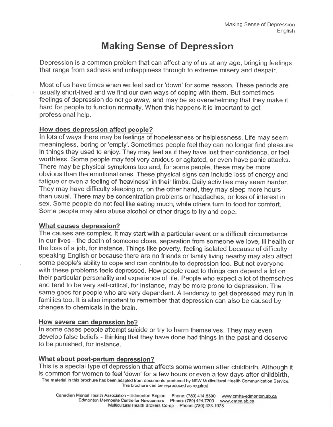# **Making Sense of Depression**

Depression is a common problem that can affect any of us at any age, bringing feelings that range from sadness and unhappiness through to extreme misery and despair.

Most of us have times when we feel sad or 'down' for some reason. These periods are usually short-lived and we find our own ways of coping with them. But sometimes feelings of depression do not go away, and may be so overwhelming that they make it hard for people to function normally.When this happens it is important to get professional help.

### How does depression affect people?

In lots of ways there may be feelings of hopelessness or helplessness. Life may seem meaningless, boring or 'empty'. Sometimes people feel they can no longer find pleasure in things they used to enjoy. They may feel as if they have lost their confidence, or feel worthless. Some people may feel very anxious or agitated, or even have panic attacks. There may be physical symptoms too and, for some people, these may be more obvious than the emotional ones. These physical signs can include loss of energy and fatigue or even a feeling of 'heaviness' in their limbs. Daily activities may seem harder. They may have difficulty sleeping or, on the other hand, they may sleep more hours than usual. There may be concentration problems or headaches, or loss of interest in sex. Some people do not feel like eating much, while others turn to food for comfort. Some people may also abuse alcohol or other drugs to try and cope.

### What causes depression?

The causes are complex. It may start with a particular event or a difficult circumstance in our lives - the death of someone close, separation from someone we love, ill health or the loss of a job, for instance. Things like poverty, feeling isolated because of difficulty speaking English or because there are no friends or family living nearby may also affect some people's ability to cope and can contribute to depression too. But not everyone with these problems feels depressed. How people react to things can depend a lot on their particular personality and experience of life. People who expect a lot of themselves and tend to be very self-critical, for instance, may be more prone to depression, The same goes for people who are very dependent. A tendency to get depressed may run in families too. It is also important to remember that depression can also be caused by changes to chemicals in the brain.

# How severe can depression be?

In some cases people attempt suicide or try to harm themselves. They may even develop false beliefs - thinking that they have done bad things in the past and deserve to be punished, for instance.

# What about post-partum depression?

This is a special type of depression that affects some women after childbirth. Although it is common for women to feel 'down' for a few hours or even a few days after childbirth, The material in this brochure has been adapted from documents produced by NSW Multicultural Health Communication Service. This brochure can be reproduced as required.